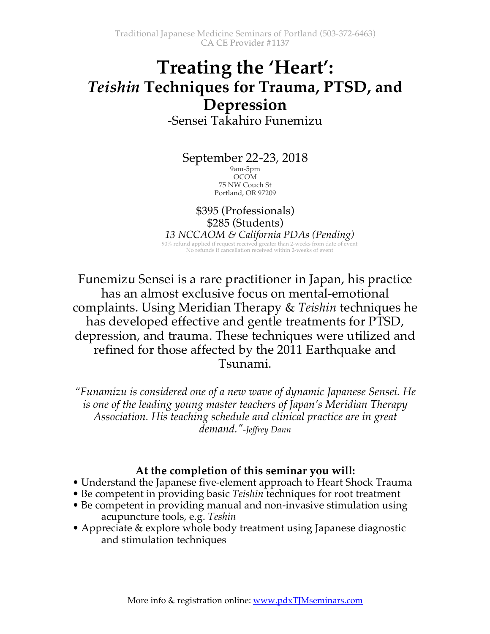## **Treating the 'Heart':** *Teishin* **Techniques for Trauma, PTSD, and Depression**

-Sensei Takahiro Funemizu

September 22-23, 2018

9am-5pm OCOM 75 NW Couch St Portland, OR 97209

\$395 (Professionals) \$285 (Students) *13 NCCAOM & California PDAs (Pending)* 90% refund applied if request received greater than 2-weeks from date of event No refunds if cancellation received within 2-weeks of event

Funemizu Sensei is a rare practitioner in Japan, his practice has an almost exclusive focus on mental-emotional complaints. Using Meridian Therapy & *Teishin* techniques he has developed effective and gentle treatments for PTSD, depression, and trauma. These techniques were utilized and refined for those affected by the 2011 Earthquake and Tsunami.

*"Funamizu is considered one of a new wave of dynamic Japanese Sensei. He is one of the leading young master teachers of Japan's Meridian Therapy Association. His teaching schedule and clinical practice are in great demand."-Jeffrey Dann*

## **At the completion of this seminar you will:**

- Understand the Japanese five-element approach to Heart Shock Trauma
- Be competent in providing basic *Teishin* techniques for root treatment
- Be competent in providing manual and non-invasive stimulation using acupuncture tools, e.g. *Teshin*
- Appreciate & explore whole body treatment using Japanese diagnostic and stimulation techniques